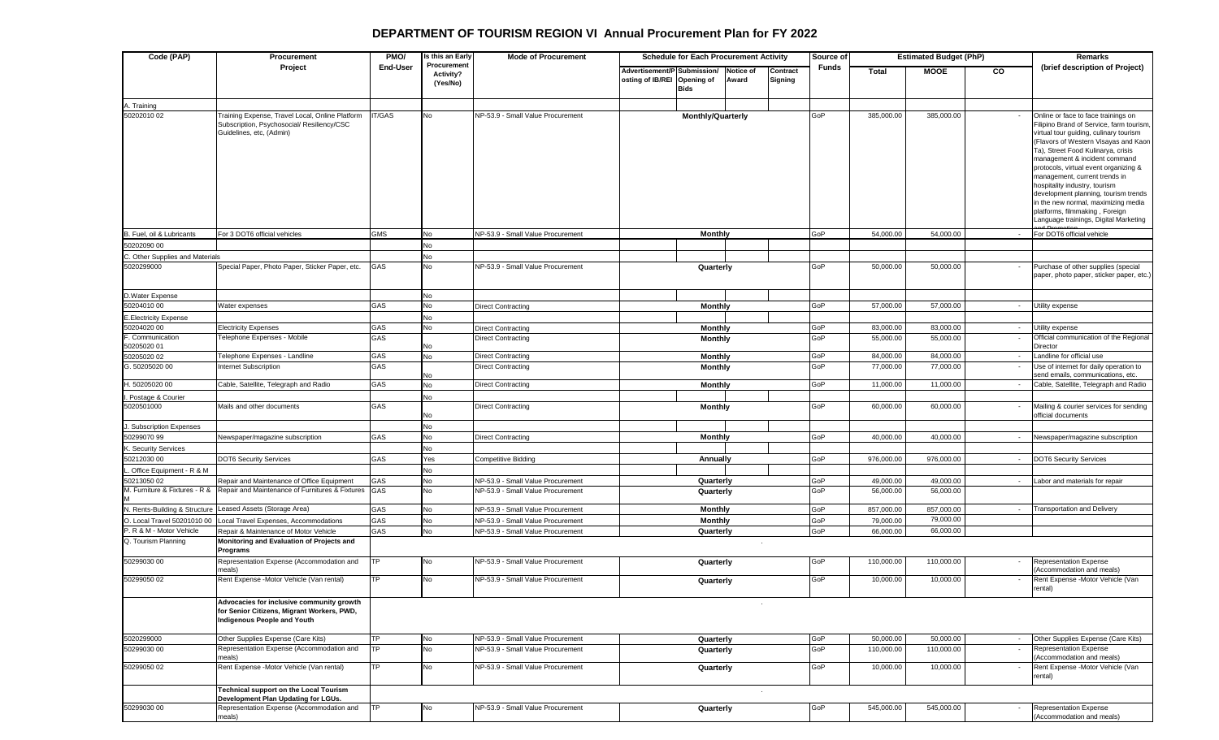| Code (PAP)                                      | Procurement<br>Project                                                                                                    | PMO/      | s this an Early<br>Procurement<br>Activity?<br>(Yes/No) | <b>Mode of Procurement</b>        | <b>Schedule for Each Procurement Activity</b>              |                          |                    |                     | Source of | <b>Estimated Budget (PhP)</b> |             |        | Remarks                                                                                                                                                                                                                                                                                                                                                                                                                                                                                                       |
|-------------------------------------------------|---------------------------------------------------------------------------------------------------------------------------|-----------|---------------------------------------------------------|-----------------------------------|------------------------------------------------------------|--------------------------|--------------------|---------------------|-----------|-------------------------------|-------------|--------|---------------------------------------------------------------------------------------------------------------------------------------------------------------------------------------------------------------------------------------------------------------------------------------------------------------------------------------------------------------------------------------------------------------------------------------------------------------------------------------------------------------|
|                                                 |                                                                                                                           | End-User  |                                                         |                                   | Advertisement/P Submission/<br>osting of IB/REI Opening of | <b>Bids</b>              | Notice of<br>Award | Contract<br>Signing | Funds     | <b>Total</b>                  | <b>MOOE</b> | CO     | (brief description of Project)                                                                                                                                                                                                                                                                                                                                                                                                                                                                                |
| A. Training                                     |                                                                                                                           |           |                                                         |                                   |                                                            |                          |                    |                     |           |                               |             |        |                                                                                                                                                                                                                                                                                                                                                                                                                                                                                                               |
| 50202010 02                                     | Training Expense, Travel Local, Online Platform<br>Subscription, Psychosocial/ Resiliency/CSC<br>Guidelines, etc, (Admin) | IT/GAS    | No                                                      | NP-53.9 - Small Value Procurement |                                                            | <b>Monthly/Quarterly</b> |                    |                     | GoP       | 385,000.00                    | 385,000.00  |        | Online or face to face trainings on<br>Filipino Brand of Service, farm tourism,<br>virtual tour guiding, culinary tourism<br>(Flavors of Western Visayas and Kaon<br>Ta), Street Food Kulinarya, crisis<br>management & incident command<br>protocols, virtual event organizing &<br>management, current trends in<br>hospitality industry, tourism<br>development planning, tourism trends<br>in the new normal, maximizing media<br>platforms, filmmaking, Foreign<br>Language trainings, Digital Marketing |
| B. Fuel, oil & Lubricants                       | For 3 DOT6 official vehicles                                                                                              | GMS       | No                                                      | NP-53.9 - Small Value Procurement |                                                            | <b>Monthly</b>           |                    |                     | GoP       | 54,000.00                     | 54,000.00   |        | For DOT6 official vehicle                                                                                                                                                                                                                                                                                                                                                                                                                                                                                     |
| 50202090 00                                     |                                                                                                                           |           | No                                                      |                                   |                                                            |                          |                    |                     |           |                               |             |        |                                                                                                                                                                                                                                                                                                                                                                                                                                                                                                               |
| C. Other Supplies and Materials<br>5020299000   | Special Paper, Photo Paper, Sticker Paper, etc.                                                                           | GAS       | No<br>No                                                | NP-53.9 - Small Value Procurement |                                                            | Quarterly                |                    |                     | GoP       | 50,000.00                     | 50,000.00   |        | Purchase of other supplies (special<br>paper, photo paper, sticker paper, etc.)                                                                                                                                                                                                                                                                                                                                                                                                                               |
| D.Water Expense                                 |                                                                                                                           |           | <b>No</b>                                               |                                   |                                                            |                          |                    |                     |           |                               |             |        |                                                                                                                                                                                                                                                                                                                                                                                                                                                                                                               |
| 50204010 00                                     | Water expenses                                                                                                            | GAS       | No                                                      | <b>Direct Contracting</b>         |                                                            | Monthly                  |                    |                     | GoP       | 57,000.00                     | 57,000.00   | $\sim$ | Utility expense                                                                                                                                                                                                                                                                                                                                                                                                                                                                                               |
| Electricity Expense                             |                                                                                                                           |           | No                                                      |                                   |                                                            |                          |                    |                     |           |                               |             |        |                                                                                                                                                                                                                                                                                                                                                                                                                                                                                                               |
| 50204020 00                                     | <b>Electricity Expenses</b>                                                                                               | GAS       | No                                                      | <b>Direct Contracting</b>         |                                                            | Monthly                  |                    |                     | GoP       | 83,000.00                     | 83,000.00   | $\sim$ | Jtility expense                                                                                                                                                                                                                                                                                                                                                                                                                                                                                               |
| Communication<br>50205020 01                    | Telephone Expenses - Mobile                                                                                               | GAS       | No                                                      | <b>Direct Contracting</b>         |                                                            | <b>Monthly</b>           |                    |                     | GoP       | 55,000.00                     | 55,000.00   |        | Official communication of the Regional<br>Director                                                                                                                                                                                                                                                                                                                                                                                                                                                            |
| 50205020 02                                     | Telephone Expenses - Landline                                                                                             | GAS       | No                                                      | <b>Direct Contracting</b>         |                                                            | Monthly                  |                    |                     | GoP       | 84,000.00                     | 84,000.00   |        | andline for official use                                                                                                                                                                                                                                                                                                                                                                                                                                                                                      |
| G. 50205020 00                                  | Internet Subscription                                                                                                     | GAS       | No                                                      | <b>Direct Contracting</b>         |                                                            | <b>Monthly</b>           |                    |                     | GoP       | 77,000.00                     | 77,000.00   |        | Use of internet for daily operation to<br>send emails, communications, etc.                                                                                                                                                                                                                                                                                                                                                                                                                                   |
| H. 50205020 00                                  | Cable, Satellite, Telegraph and Radio                                                                                     | GAS       | No                                                      | <b>Direct Contracting</b>         |                                                            | <b>Monthly</b>           |                    |                     | GoP       | 11,000.00                     | 11,000.00   |        | Cable, Satellite, Telegraph and Radio                                                                                                                                                                                                                                                                                                                                                                                                                                                                         |
| Postage & Courier                               |                                                                                                                           |           | No                                                      |                                   |                                                            |                          |                    |                     |           |                               |             |        |                                                                                                                                                                                                                                                                                                                                                                                                                                                                                                               |
| 5020501000                                      | Mails and other documents                                                                                                 | GAS       | No                                                      | <b>Direct Contracting</b>         |                                                            | Monthly                  |                    |                     | GoP       | 60,000.00                     | 60,000.00   |        | Mailing & courier services for sending<br>official documents                                                                                                                                                                                                                                                                                                                                                                                                                                                  |
| . Subscription Expenses                         |                                                                                                                           |           | No                                                      |                                   |                                                            |                          |                    |                     |           |                               |             |        |                                                                                                                                                                                                                                                                                                                                                                                                                                                                                                               |
| 50299070 99                                     | Newspaper/magazine subscription                                                                                           | GAS       | No                                                      | <b>Direct Contracting</b>         |                                                            | <b>Monthly</b>           |                    |                     | GoP       | 40,000.00                     | 40,000.00   |        | Newspaper/magazine subscription                                                                                                                                                                                                                                                                                                                                                                                                                                                                               |
| . Security Services                             |                                                                                                                           |           | No                                                      |                                   |                                                            |                          |                    |                     |           |                               |             |        |                                                                                                                                                                                                                                                                                                                                                                                                                                                                                                               |
| 50212030 00                                     | DOT6 Security Services                                                                                                    | GAS       | Yes                                                     | <b>Competitive Bidding</b>        |                                                            | Annually                 |                    |                     | GoP       | 976,000.00                    | 976,000.00  |        | <b>DOT6 Security Services</b>                                                                                                                                                                                                                                                                                                                                                                                                                                                                                 |
| Office Equipment - R & M<br>50213050 02         | Repair and Maintenance of Office Equipment                                                                                | GAS       | No<br>No                                                | NP-53.9 - Small Value Procurement |                                                            | Quarterly                |                    |                     | GoP       | 49,000.00                     | 49,000.00   |        | abor and materials for repair.                                                                                                                                                                                                                                                                                                                                                                                                                                                                                |
| M. Furniture & Fixtures - R &                   | Repair and Maintenance of Furnitures & Fixtures                                                                           | GAS       | No                                                      | NP-53.9 - Small Value Procurement |                                                            | Quarterly                |                    |                     | GoP       | 56,000.00                     | 56,000.00   |        |                                                                                                                                                                                                                                                                                                                                                                                                                                                                                                               |
|                                                 |                                                                                                                           |           |                                                         |                                   |                                                            |                          |                    |                     |           |                               |             |        |                                                                                                                                                                                                                                                                                                                                                                                                                                                                                                               |
| N. Rents-Building & Structure                   | eased Assets (Storage Area)                                                                                               | GAS       | No                                                      | NP-53.9 - Small Value Procurement |                                                            | <b>Monthly</b>           |                    |                     | GoP       | 857,000.00                    | 857,000.00  |        | Transportation and Delivery                                                                                                                                                                                                                                                                                                                                                                                                                                                                                   |
| O. Local Travel 50201010 00                     | ocal Travel Expenses, Accommodations                                                                                      | GAS       | No                                                      | NP-53.9 - Small Value Procurement |                                                            | <b>Monthly</b>           |                    |                     | GoP       | 79,000.00                     | 79,000.00   |        |                                                                                                                                                                                                                                                                                                                                                                                                                                                                                                               |
| P. R & M - Motor Vehicle<br>Q. Tourism Planning | Repair & Maintenance of Motor Vehicle<br>Monitoring and Evaluation of Projects and<br>Programs                            | GAS       | No                                                      | NP-53.9 - Small Value Procurement |                                                            | Quarterly                | $\sim$             |                     | GoP       | 66,000.00                     | 66,000.00   |        |                                                                                                                                                                                                                                                                                                                                                                                                                                                                                                               |
| 50299030 00                                     | Representation Expense (Accommodation and<br>meals)                                                                       | <b>TP</b> | No                                                      | NP-53.9 - Small Value Procurement |                                                            | Quarterly                |                    |                     | GoP       | 110,000.00                    | 110,000.00  |        | <b>Representation Expense</b><br>Accommodation and meals)                                                                                                                                                                                                                                                                                                                                                                                                                                                     |
| 50299050 02                                     | Rent Expense -Motor Vehicle (Van rental)                                                                                  | <b>TP</b> | No                                                      | NP-53.9 - Small Value Procurement |                                                            | Quarterly                |                    |                     | GoP       | 10,000.00                     | 10,000.00   |        | Rent Expense -Motor Vehicle (Van<br>rental)                                                                                                                                                                                                                                                                                                                                                                                                                                                                   |
|                                                 | Advocacies for inclusive community growth<br>for Senior Citizens, Migrant Workers, PWD,<br>Indigenous People and Youth    |           |                                                         |                                   |                                                            |                          |                    |                     |           |                               |             |        |                                                                                                                                                                                                                                                                                                                                                                                                                                                                                                               |
| 5020299000                                      | Other Supplies Expense (Care Kits)                                                                                        | <b>TP</b> | No                                                      | NP-53.9 - Small Value Procurement |                                                            | Quarterly                |                    |                     | GoP       | 50,000.00                     | 50,000.00   | $\sim$ | Other Supplies Expense (Care Kits)                                                                                                                                                                                                                                                                                                                                                                                                                                                                            |
| 50299030 00                                     | Representation Expense (Accommodation and<br>meals)                                                                       | TP        | No                                                      | NP-53.9 - Small Value Procurement |                                                            | Quarterly                |                    |                     | GoP       | 110,000.00                    | 110,000.00  |        | <b>Representation Expense</b><br>(Accommodation and meals)                                                                                                                                                                                                                                                                                                                                                                                                                                                    |
| 50299050 02                                     | Rent Expense -Motor Vehicle (Van rental)                                                                                  | <b>TP</b> | No                                                      | NP-53.9 - Small Value Procurement |                                                            | Quarterly                |                    |                     | GoP       | 10,000.00                     | 10,000.00   | ٠      | Rent Expense -Motor Vehicle (Van<br>rental)                                                                                                                                                                                                                                                                                                                                                                                                                                                                   |
|                                                 | Technical support on the Local Tourism<br>Development Plan Updating for LGUs.                                             |           |                                                         |                                   |                                                            |                          | $\sim$             |                     |           |                               |             |        |                                                                                                                                                                                                                                                                                                                                                                                                                                                                                                               |
| 50299030 00                                     | Representation Expense (Accommodation and<br>meals)                                                                       | TP        | No                                                      | NP-53.9 - Small Value Procurement |                                                            | Quarterly                |                    |                     | GoP       | 545,000.00                    | 545,000.00  |        | <b>Representation Expense</b><br>Accommodation and meals)                                                                                                                                                                                                                                                                                                                                                                                                                                                     |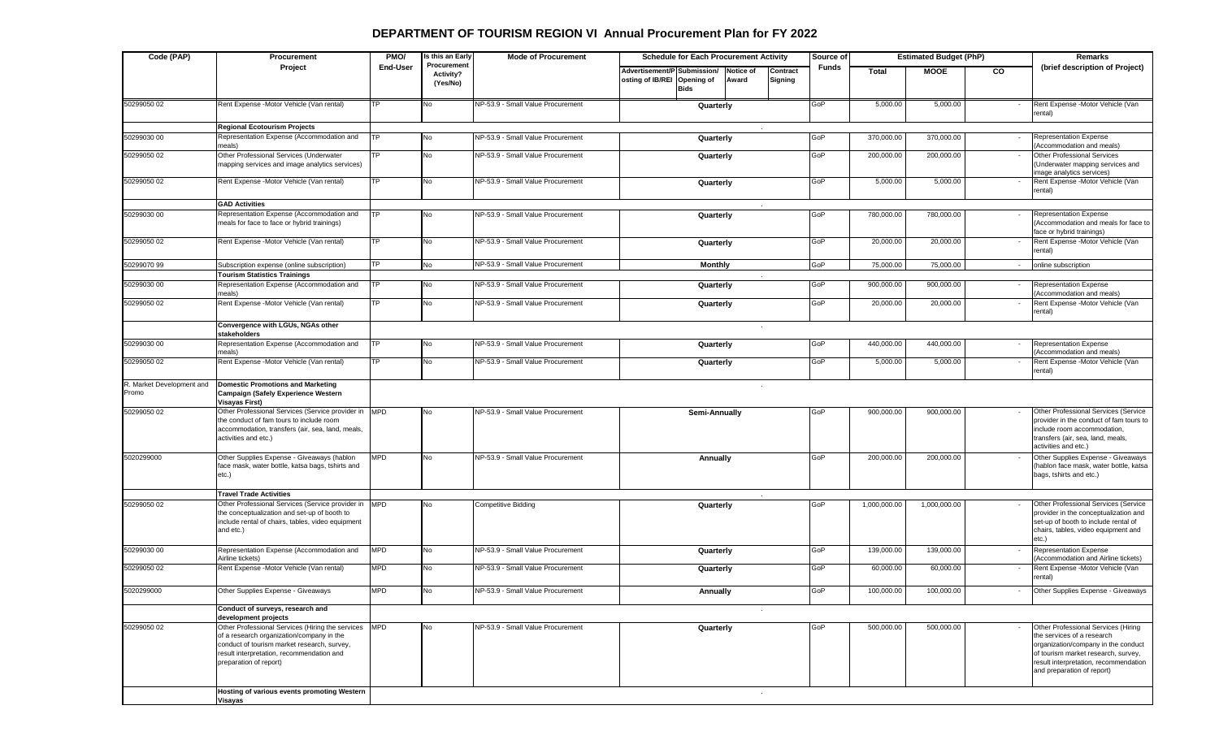| Code (PAP)                         | Procurement<br>Project                                                                                                                                                                                              | PMO/       | Is this an Early<br>Procurement<br><b>Activity?</b><br>(Yes/No) | <b>Mode of Procurement</b>        | <b>Schedule for Each Procurement Activity</b>                                                          | Source of           |            | <b>Estimated Budget (PhP)</b> |              | Remarks                                                                                             |                                                                                                                                                                                                                        |
|------------------------------------|---------------------------------------------------------------------------------------------------------------------------------------------------------------------------------------------------------------------|------------|-----------------------------------------------------------------|-----------------------------------|--------------------------------------------------------------------------------------------------------|---------------------|------------|-------------------------------|--------------|-----------------------------------------------------------------------------------------------------|------------------------------------------------------------------------------------------------------------------------------------------------------------------------------------------------------------------------|
|                                    |                                                                                                                                                                                                                     | End-User   |                                                                 |                                   | Advertisement/P Submission/<br><b>Notice of</b><br>osting of IB/REI Opening of<br>Award<br><b>Bids</b> | Contract<br>Signing | Funds      | <b>Total</b>                  | <b>MOOE</b>  | CO                                                                                                  | (brief description of Project)                                                                                                                                                                                         |
| 50299050 02                        | Rent Expense -Motor Vehicle (Van rental)                                                                                                                                                                            | <b>TP</b>  | No                                                              | NP-53.9 - Small Value Procurement | Quarterly                                                                                              |                     | GoP        | 5,000.00                      | 5,000.00     |                                                                                                     | Rent Expense -Motor Vehicle (Van<br>rental)                                                                                                                                                                            |
|                                    | <b>Regional Ecotourism Projects</b>                                                                                                                                                                                 |            |                                                                 |                                   |                                                                                                        |                     |            |                               |              |                                                                                                     |                                                                                                                                                                                                                        |
| 50299030 00                        | Representation Expense (Accommodation and<br>meals)                                                                                                                                                                 | <b>TP</b>  | No                                                              | NP-53.9 - Small Value Procurement | Quarterly                                                                                              | GoP                 | 370,000.00 | 370,000.00                    |              | <b>Representation Expense</b><br>Accommodation and meals)                                           |                                                                                                                                                                                                                        |
| 50299050 02                        | Other Professional Services (Underwater<br>mapping services and image analytics services)                                                                                                                           | TP         | No                                                              | NP-53.9 - Small Value Procurement | Quarterly                                                                                              | GoP                 | 200,000.00 | 200,000.00                    |              | <b>Other Professional Services</b><br>(Underwater mapping services and<br>image analytics services) |                                                                                                                                                                                                                        |
| 50299050 02                        | Rent Expense -Motor Vehicle (Van rental)                                                                                                                                                                            | <b>TP</b>  | No                                                              | NP-53.9 - Small Value Procurement | Quarterly                                                                                              | GoP                 | 5,000.00   | 5,000.00                      |              | Rent Expense -Motor Vehicle (Van<br>rental)                                                         |                                                                                                                                                                                                                        |
|                                    | <b>GAD Activities</b>                                                                                                                                                                                               |            |                                                                 |                                   |                                                                                                        |                     | GoP        | 780,000.00                    |              |                                                                                                     |                                                                                                                                                                                                                        |
| 50299030 00                        | Representation Expense (Accommodation and<br>meals for face to face or hybrid trainings)                                                                                                                            | <b>TP</b>  | No                                                              | NP-53.9 - Small Value Procurement | Quarterly                                                                                              |                     |            |                               | 780,000.00   |                                                                                                     | Representation Expense<br>(Accommodation and meals for face to<br>face or hybrid trainings)                                                                                                                            |
| 50299050 02                        | Rent Expense -Motor Vehicle (Van rental)                                                                                                                                                                            | TP         | No                                                              | NP-53.9 - Small Value Procurement | Quarterly                                                                                              |                     | GoP        | 20,000.00                     | 20,000.00    |                                                                                                     | Rent Expense -Motor Vehicle (Van<br>rental)                                                                                                                                                                            |
| 50299070 99                        | Subscription expense (online subscription)                                                                                                                                                                          | <b>TP</b>  | No                                                              | NP-53.9 - Small Value Procurement | <b>Monthly</b>                                                                                         |                     | GoP        | 75,000.00                     | 75,000.00    | $\sim$                                                                                              | online subscription                                                                                                                                                                                                    |
|                                    | <b>Tourism Statistics Trainings</b>                                                                                                                                                                                 |            |                                                                 |                                   |                                                                                                        |                     |            |                               |              |                                                                                                     |                                                                                                                                                                                                                        |
| 50299030 00                        | Representation Expense (Accommodation and<br>meals)                                                                                                                                                                 | TP         | No                                                              | NP-53.9 - Small Value Procurement | Quarterly                                                                                              |                     | GoP        | 900,000.00                    | 900,000.00   |                                                                                                     | Representation Expense<br>(Accommodation and meals)                                                                                                                                                                    |
| 50299050 02                        | Rent Expense -Motor Vehicle (Van rental)                                                                                                                                                                            | TP         | No                                                              | NP-53.9 - Small Value Procurement | Quarterly                                                                                              |                     | GoP        | 20,000.00                     | 20,000.00    |                                                                                                     | Rent Expense -Motor Vehicle (Van<br>rental)                                                                                                                                                                            |
|                                    | Convergence with LGUs, NGAs other<br>stakeholders                                                                                                                                                                   |            |                                                                 |                                   |                                                                                                        |                     |            |                               |              |                                                                                                     |                                                                                                                                                                                                                        |
| 50299030 00                        | Representation Expense (Accommodation and<br>meals)                                                                                                                                                                 | <b>ITP</b> | No                                                              | NP-53.9 - Small Value Procurement | Quarterly                                                                                              |                     | GoP        | 440,000.00                    | 440,000.00   |                                                                                                     | Representation Expense<br>(Accommodation and meals)                                                                                                                                                                    |
| 50299050 02                        | Rent Expense -Motor Vehicle (Van rental)                                                                                                                                                                            | TP         | No                                                              | NP-53.9 - Small Value Procurement | Quarterly                                                                                              |                     | GoP        | 5,000.00                      | 5,000.00     |                                                                                                     | Rent Expense -Motor Vehicle (Van<br>rental)                                                                                                                                                                            |
| R. Market Development and<br>Promo | <b>Domestic Promotions and Marketing</b><br>Campaign (Safely Experience Western<br><b>Visayas First)</b>                                                                                                            |            |                                                                 |                                   |                                                                                                        |                     |            |                               |              |                                                                                                     |                                                                                                                                                                                                                        |
| 50299050 02                        | Other Professional Services (Service provider in MPD<br>the conduct of fam tours to include room<br>accommodation, transfers (air, sea, land, meals,<br>activities and etc.)                                        |            | No                                                              | NP-53.9 - Small Value Procurement | Semi-Annually                                                                                          | GoP                 |            | 900,000.00                    | 900,000.00   |                                                                                                     | Other Professional Services (Service<br>provider in the conduct of fam tours to<br>include room accommodation,<br>transfers (air, sea, land, meals,<br>activities and etc.                                             |
| 5020299000                         | Other Supplies Expense - Giveaways (hablon<br>face mask, water bottle, katsa bags, tshirts and<br>etc.)                                                                                                             | <b>MPD</b> | No                                                              | NP-53.9 - Small Value Procurement | Annually                                                                                               | GoP                 |            | 200,000.00                    | 200,000.00   |                                                                                                     | Other Supplies Expense - Giveaways<br>(hablon face mask, water bottle, katsa<br>bags, tshirts and etc.)                                                                                                                |
|                                    | <b>Travel Trade Activities</b>                                                                                                                                                                                      |            |                                                                 |                                   |                                                                                                        |                     |            |                               |              |                                                                                                     |                                                                                                                                                                                                                        |
| 50299050 02                        | Other Professional Services (Service provider in MPD<br>the conceptualization and set-up of booth to<br>include rental of chairs, tables, video equipment<br>and etc.)                                              |            | No                                                              | <b>Competitive Bidding</b>        | Quarterly                                                                                              |                     | GoP        | 1,000,000.00                  | 1,000,000.00 |                                                                                                     | Other Professional Services (Service<br>provider in the conceptualization and<br>set-up of booth to include rental of<br>chairs, tables, video equipment and<br>etc.)                                                  |
| 50299030 00                        | Representation Expense (Accommodation and<br>Airline tickets)                                                                                                                                                       | <b>MPD</b> | No                                                              | NP-53.9 - Small Value Procurement | Quarterly                                                                                              |                     | GoP        | 139,000.00                    | 139,000.00   |                                                                                                     | <b>Representation Expense</b><br>Accommodation and Airline tickets)                                                                                                                                                    |
| 50299050 02                        | Rent Expense -Motor Vehicle (Van rental)                                                                                                                                                                            | <b>MPD</b> | No                                                              | NP-53.9 - Small Value Procurement | Quarterly                                                                                              |                     | GoP        | 60,000.00                     | 60,000.00    |                                                                                                     | Rent Expense -Motor Vehicle (Van<br>rental)                                                                                                                                                                            |
| 5020299000                         | Other Supplies Expense - Giveaways                                                                                                                                                                                  | <b>MPD</b> | No                                                              | NP-53.9 - Small Value Procurement | Annually                                                                                               |                     | GoP        | 100,000.00                    | 100,000.00   |                                                                                                     | Other Supplies Expense - Giveaways                                                                                                                                                                                     |
|                                    | Conduct of surveys, research and<br>development projects                                                                                                                                                            |            |                                                                 |                                   |                                                                                                        |                     |            |                               |              |                                                                                                     |                                                                                                                                                                                                                        |
| 50299050 02                        | Other Professional Services (Hiring the services<br>of a research organization/company in the<br>conduct of tourism market research, survey,<br>result interpretation, recommendation and<br>preparation of report) | <b>MPD</b> | No                                                              | NP-53.9 - Small Value Procurement | Quarterly                                                                                              |                     | GoP        | 500,000.00                    | 500,000.00   |                                                                                                     | Other Professional Services (Hiring<br>the services of a research<br>organization/company in the conduct<br>of tourism market research, survey,<br>result interpretation, recommendation<br>and preparation of report) |
|                                    | Hosting of various events promoting Western<br><b>Visayas</b>                                                                                                                                                       |            |                                                                 |                                   | $\sim$                                                                                                 |                     |            |                               |              |                                                                                                     |                                                                                                                                                                                                                        |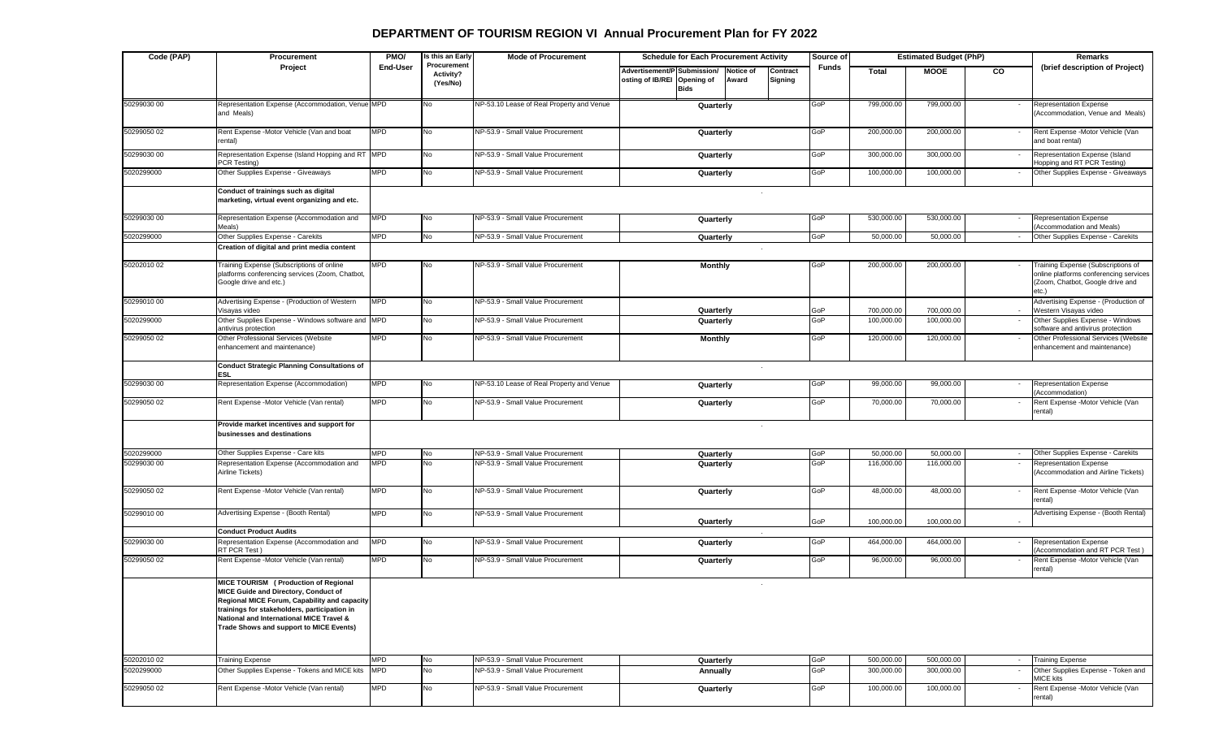| Code (PAP)  | Procurement                                                                                                                                                                                                                                                          | PMO/       | Is this an Early                     | <b>Mode of Procurement</b>                |                                                                                                 | <b>Schedule for Each Procurement Activity</b> |              |            | <b>Estimated Budget (PhP)</b> |        | Remarks                                                                                                                   |
|-------------|----------------------------------------------------------------------------------------------------------------------------------------------------------------------------------------------------------------------------------------------------------------------|------------|--------------------------------------|-------------------------------------------|-------------------------------------------------------------------------------------------------|-----------------------------------------------|--------------|------------|-------------------------------|--------|---------------------------------------------------------------------------------------------------------------------------|
|             | Project                                                                                                                                                                                                                                                              | End-User   | Procurement<br>Activity?<br>(Yes/No) |                                           | Advertisement/P Submission/<br>Notice of<br>osting of IB/REI Opening of<br>Award<br><b>Bids</b> | Contract<br>Signing                           | <b>Funds</b> | Total      | <b>MOOE</b>                   | CO     | (brief description of Project)                                                                                            |
| 50299030 00 | Representation Expense (Accommodation, Venue MPD<br>and Meals)                                                                                                                                                                                                       |            | No                                   | NP-53.10 Lease of Real Property and Venue | Quarterly                                                                                       |                                               | GoP          | 799,000.00 | 799,000.00                    |        | Representation Expense<br>(Accommodation, Venue and Meals)                                                                |
| 50299050 02 | Rent Expense -Motor Vehicle (Van and boat<br>rental)                                                                                                                                                                                                                 | <b>MPD</b> | No                                   | NP-53.9 - Small Value Procurement         | Quarterly                                                                                       |                                               | GoP          | 200,000.00 | 200,000.00                    |        | Rent Expense -Motor Vehicle (Van<br>and boat rental)                                                                      |
| 50299030 00 | Representation Expense (Island Hopping and RT MPD<br>PCR Testing)                                                                                                                                                                                                    |            | No                                   | NP-53.9 - Small Value Procurement         | Quarterly                                                                                       |                                               | GoP          | 300,000.00 | 300,000.00                    |        | Representation Expense (Island<br>Hopping and RT PCR Testing)                                                             |
| 5020299000  | Other Supplies Expense - Giveaways                                                                                                                                                                                                                                   | <b>MPD</b> | No                                   | NP-53.9 - Small Value Procurement         | Quarterly                                                                                       |                                               | GoP          | 100,000.00 | 100,000.00                    |        | Other Supplies Expense - Giveaways                                                                                        |
|             | Conduct of trainings such as digital<br>marketing, virtual event organizing and etc.                                                                                                                                                                                 |            |                                      |                                           |                                                                                                 |                                               |              |            |                               |        |                                                                                                                           |
| 50299030 00 | Representation Expense (Accommodation and<br>Meals)                                                                                                                                                                                                                  | <b>MPD</b> | No                                   | NP-53.9 - Small Value Procurement         | Quarterly                                                                                       |                                               | GoP          | 530,000.00 | 530,000.00                    |        | <b>Representation Expense</b><br>Accommodation and Meals)                                                                 |
| 5020299000  | Other Supplies Expense - Carekits                                                                                                                                                                                                                                    | <b>MPD</b> | No                                   | NP-53.9 - Small Value Procurement         | Quarterly                                                                                       |                                               | GoP          | 50,000.00  | 50,000.00                     |        | Other Supplies Expense - Carekits                                                                                         |
|             | Creation of digital and print media content                                                                                                                                                                                                                          |            |                                      |                                           |                                                                                                 |                                               |              |            |                               |        |                                                                                                                           |
| 50202010 02 | Training Expense (Subscriptions of online<br>platforms conferencing services (Zoom, Chatbot,<br>Google drive and etc.)                                                                                                                                               | <b>MPD</b> | No                                   | NP-53.9 - Small Value Procurement         | <b>Monthly</b>                                                                                  |                                               | GoP          | 200,000.00 | 200,000.00                    |        | Training Expense (Subscriptions of<br>online platforms conferencing services<br>(Zoom, Chatbot, Google drive and<br>etc.) |
| 50299010 00 | Advertising Expense - (Production of Western<br>Visayas video                                                                                                                                                                                                        | <b>MPD</b> | No                                   | NP-53.9 - Small Value Procurement         | Quarterly                                                                                       |                                               | GoP          | 700,000.00 | 700,000.00                    |        | Advertising Expense - (Production of<br>Western Visayas video                                                             |
| 5020299000  | Other Supplies Expense - Windows software and MPD<br>antivirus protection                                                                                                                                                                                            |            | No                                   | NP-53.9 - Small Value Procurement         | Quarterly                                                                                       |                                               | GoP          | 100,000.00 | 100,000.00                    |        | Other Supplies Expense - Windows<br>software and antivirus protection                                                     |
| 50299050 02 | Other Professional Services (Website<br>enhancement and maintenance)                                                                                                                                                                                                 | <b>MPD</b> | No                                   | NP-53.9 - Small Value Procurement         | <b>Monthly</b>                                                                                  |                                               |              | 120,000.00 | 120,000.00                    |        | Other Professional Services (Website<br>enhancement and maintenance)                                                      |
|             | <b>Conduct Strategic Planning Consultations of</b><br><b>ESL</b>                                                                                                                                                                                                     |            |                                      |                                           |                                                                                                 | $\sim$                                        |              |            |                               |        |                                                                                                                           |
| 50299030 00 | Representation Expense (Accommodation)                                                                                                                                                                                                                               | <b>MPD</b> | No                                   | NP-53.10 Lease of Real Property and Venue | Quarterly                                                                                       |                                               | GoP          | 99,000.00  | 99,000.00                     |        | Representation Expense<br>Accommodation)                                                                                  |
| 50299050 02 | Rent Expense -Motor Vehicle (Van rental)                                                                                                                                                                                                                             | <b>MPD</b> | No                                   | NP-53.9 - Small Value Procurement         | Quarterly                                                                                       |                                               | GoP          | 70,000.00  | 70,000.00                     |        | Rent Expense -Motor Vehicle (Van<br>rental)                                                                               |
|             | Provide market incentives and support for<br>businesses and destinations                                                                                                                                                                                             |            |                                      |                                           |                                                                                                 |                                               |              |            |                               |        |                                                                                                                           |
| 5020299000  | Other Supplies Expense - Care kits                                                                                                                                                                                                                                   | <b>MPD</b> | No                                   | NP-53.9 - Small Value Procurement         | Quarterly                                                                                       |                                               | GoP          | 50,000.00  | 50,000.00                     |        | Other Supplies Expense - Carekits                                                                                         |
| 50299030 00 | Representation Expense (Accommodation and<br>Airline Tickets)                                                                                                                                                                                                        | <b>MPD</b> | No                                   | NP-53.9 - Small Value Procurement         | Quarterly                                                                                       |                                               | GoP          | 116,000.00 | 116,000.00                    |        | <b>Representation Expense</b><br>(Accommodation and Airline Tickets)                                                      |
| 50299050 02 | Rent Expense -Motor Vehicle (Van rental)                                                                                                                                                                                                                             | <b>MPD</b> | No                                   | NP-53.9 - Small Value Procurement         | Quarterly                                                                                       |                                               | GoP          | 48,000.00  | 48,000.00                     |        | Rent Expense -Motor Vehicle (Van<br>rental)                                                                               |
| 50299010 00 | Advertising Expense - (Booth Rental)                                                                                                                                                                                                                                 | <b>MPD</b> | No                                   | NP-53.9 - Small Value Procurement         | Quarterly                                                                                       |                                               | GoP          | 100,000.00 | 100,000.00                    |        | Advertising Expense - (Booth Rental)                                                                                      |
|             | <b>Conduct Product Audits</b>                                                                                                                                                                                                                                        |            |                                      |                                           |                                                                                                 |                                               |              |            |                               |        |                                                                                                                           |
| 50299030 00 | Representation Expense (Accommodation and<br>RT PCR Test)                                                                                                                                                                                                            | <b>MPD</b> | No                                   | NP-53.9 - Small Value Procurement         | Quarterly                                                                                       |                                               | GoP          | 464,000.00 | 464,000.00                    |        | Representation Expense<br>Accommodation and RT PCR Test)                                                                  |
| 50299050 02 | Rent Expense -Motor Vehicle (Van rental)                                                                                                                                                                                                                             | <b>MPD</b> | No                                   | NP-53.9 - Small Value Procurement         | Quarterly                                                                                       |                                               | GoP          | 96,000.00  | 96,000.00                     |        | Rent Expense -Motor Vehicle (Van<br>rental)                                                                               |
|             | MICE TOURISM ( Production of Regional<br>MICE Guide and Directory, Conduct of<br>Regional MICE Forum, Capability and capacity<br>trainings for stakeholders, participation in<br>National and International MICE Travel &<br>Trade Shows and support to MICE Events) |            |                                      |                                           |                                                                                                 |                                               |              |            |                               |        |                                                                                                                           |
| 50202010 02 | <b>Training Expense</b>                                                                                                                                                                                                                                              | <b>MPD</b> | No                                   | NP-53.9 - Small Value Procurement         | Quarterly                                                                                       |                                               | GoP          | 500,000.00 | 500,000.00                    | $\sim$ | <b>Training Expense</b>                                                                                                   |
| 5020299000  | Other Supplies Expense - Tokens and MICE kits                                                                                                                                                                                                                        | <b>MPD</b> | No                                   | NP-53.9 - Small Value Procurement         | Annually                                                                                        |                                               | GoP          | 300,000.00 | 300,000.00                    |        | Other Supplies Expense - Token and<br>MICE kits                                                                           |
| 50299050 02 | Rent Expense -Motor Vehicle (Van rental)                                                                                                                                                                                                                             | <b>MPD</b> | No                                   | NP-53.9 - Small Value Procurement         | Quarterly                                                                                       | GoP                                           |              | 100,000.00 | 100,000.00                    |        | Rent Expense -Motor Vehicle (Van<br>rental)                                                                               |